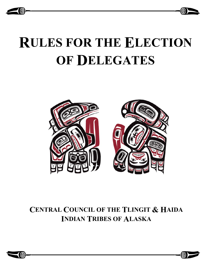# **RULES FOR THE ELECTION OF DELEGATES**



# **CENTRAL COUNCIL OF THE TLINGIT & HAIDA INDIAN TRIBES OF ALASKA**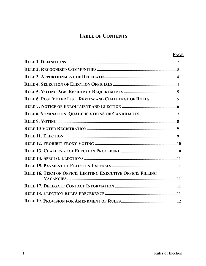# **TABLE OF CONTENTS**

| <b>PAGE</b>                                                        |
|--------------------------------------------------------------------|
|                                                                    |
|                                                                    |
|                                                                    |
|                                                                    |
|                                                                    |
| RULE 6. POST VOTER LIST; REVIEW AND CHALLENGE OF ROLLS 5           |
|                                                                    |
|                                                                    |
|                                                                    |
|                                                                    |
|                                                                    |
|                                                                    |
|                                                                    |
|                                                                    |
|                                                                    |
| <b>RULE 16. TERM OF OFFICE; LIMITING EXECUTIVE OFFICE; FILLING</b> |
|                                                                    |
|                                                                    |
|                                                                    |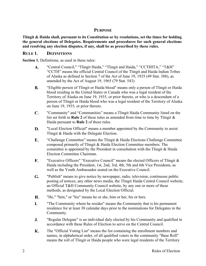## **PURPOSE**

**Tlingit & Haida shall, pursuant to its Constitution or by resolutions, set the times for holding the general elections of Delegates. Requirements and procedures for such general elections and resolving any election disputes, if any, shall be as prescribed by these rules.** 

#### **RULE 1. DEFINITIONS**

**Section 1.** Definitions, as used in these rules:

- "Central Council," "Tlingit Haida," "Tlingit and Haida," "CCTHITA," "T&H"  $\mathbf{A}$ . "CCTH" means the official Central Council of the Tlingit and Haida Indian Tribes of Alaska as defined in Section 7 of the Act of June 19, 1935 (49 Stat. 388), as amended by the Act of August 19, 1965 (79 Stat. 543).
- **B.** "Eligible person of Tlingit or Haida blood" means only a person of Tlingit or Haida blood residing in the United States or Canada who was a legal resident of the Territory of Alaska on June 19, 1935, or prior thereto, or who is a descendant of a person of Tlingit or Haida blood who was a legal resident of the Territory of Alaska on June 19, 1935, or prior thereto.
- C. "Community" and "Communities" means a Tlingit Haida Community listed on the list set forth in **Rule 2** of these rules as amended from time to time by Tlingit & Haida pursuant to **Rule 2** of these rules.
- D. "Local Election Official" means a member appointed by the Community to assist Tlingit & Haida with the Delegate Election.
- Е. "Challenge Committee" means the Tlingit & Haida Elections Challenge Committee composed primarily of Tlingit & Haida Election Committee members. The committee is appointed by the President in consultation with the Tlingit & Haida Election Committee Chairman.
- F. "Executive Officers" "Executive Council" means the elected Officers of Tlingit & Haida including the President, 1st, 2nd, 3rd, 4th, 5th and 6th Vice Presidents, as well as the Youth Ambassador seated on the Executive Council.
- G. "Publish" means to give notice by newspaper, radio, television, continuous public posting of notices, any other news media, the Tlingit Haida Central Council website, an Official T&H Community Council website, by any one or more of these methods, as designated by the Local Election Official.
- Н. "He," "him," or "his" means he or she, him or her, his or hers.
- I. "The Community where he resides" means the Community that is his permanent residence for at least 30 calendar days prior to the nominations for Delegates in the Community.
- J. "Regular Delegate" is an individual duly elected by his Community and qualified in accordance with these Rules of Election to serve on the Central Council.
- К. The "Official Voting List" means the list containing the enrollment numbers and names, in alphabetical order, of all qualified voters in the community "Base Roll" means the roll of Tlingit or Haida people who were legal residents of the Territory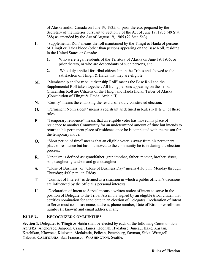of Alaska and/or Canada on June 19, 1935, or prior thereto, prepared by the Secretary of the Interior pursuant to Section 8 of the Act of June 19, 1935 (49 Stat. 388) as amended by the Act of August 19, 1965 (79 Stat. 543).

- "Supplemental Roll" means the roll maintained by the Tlingit & Haida of persons L. of Tlingit or Haida blood (other than persons appearing on the Base Roll) residing in the United States or Canada:
	- **1.** Who were legal residents of the Territory of Alaska on June 19, 1935, or prior thereto, or who are descendants of such persons, and
	- **2.** Who duly applied for tribal citizenship in the Tribes and showed to the satisfaction of Tlingit & Haida that they are eligible.
- М. "Membership and/or tribal citizenship Roll" means the Base Roll and the Supplemental Roll taken together. All living persons appearing on the Tribal Citizenship Roll are Citizens of the Tlingit and Haida Indian Tribes of Alaska (Constitution of Tlingit & Haida, Article II).
- N. "Certify" means the endorsing the results of a duly constituted election.
- **O.** "Permanent Nonresident" means a registrant as defined in Rules  $5(B \& C)$  of these rules.
- **P.** "Temporary residence" means that an eligible voter has moved his place of residence to another Community for an undetermined amount of time but intends to return to his permanent place of residence once he is completed with the reason for the temporary move.
- Q. "Short period of time" means that an eligible voter is away from his permanent place of residence but has not moved to the community he is in during the election process.
- R. Nepotism is defined as: grandfather, grandmother, father, mother, brother, sister, son, daughter, grandson and granddaughter.
- S. "Close of Business" or "Close of Business Day" means 4:30 p.m. Monday through Thursday; 4:00 p.m. on Friday.
- **T.** "Conflict of Interest" is defined as a situation in which a public official's decisions are influenced by the official's personal interests.
- U. "Declaration of Intent to Serve" means a written notice of intent to serve in the position of Delegate to the Tribal Assembly signed by an eligible tribal citizen that certifies nomination for candidate in an election of Delegates. Declaration of Intent to Serve must INCLUDE: name, address, phone number, Date of Birth or enrollment number (if known) and email address, if any.

#### **RULE 2. RECOGNIZED COMMUNITIES**

Section 1. Delegates to Tlingit & Haida shall be elected by each of the following Communities: **ALASKA**: Anchorage, Angoon, Craig, Haines, Hoonah, Hydaburg, Juneau, Kake, Kasaan, Ketchikan, Klawock, Klukwan, Metlakatla, Pelican, Petersburg, Saxman, Sitka, Wrangell, Yakutat, **CALIFORNIA**: San Francisco, **WASHINGTON**: Seattle.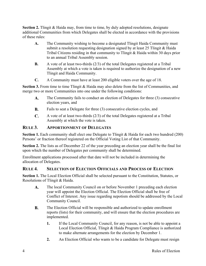**Section 2.** Tlingit & Haida may, from time to time, by duly adopted resolutions, designate additional Communities from which Delegates shall be elected in accordance with the provisions of these rules:

- **A.** The Community wishing to become a designated Tlingit Haida Community must submit a resolution requesting designation signed by at least 25 Tlingit & Haida Tribal Citizens residing in that community to Tlingit & Haida within 30 days prior to an annual Tribal Assembly session.
- **B.** A vote of at least two-thirds (2/3) of the total Delegates registered at a Tribal Assembly at which a vote is taken is required to authorize the designation of a new Tlingit and Haida Community.
- **C.** A Community must have at least 200 eligible voters over the age of 18.

**Section 3.** From time to time Tlingit & Haida may also delete from the list of Communities, and merge two or more Communities into one under the following conditions:

- The Community fails to conduct an election of Delegates for three (3) consecutive **A.** election years, and
- Fails to seat a Delegate for three (3) consecutive election cycles, and **B.**
- C. A vote of at least two-thirds (2/3) of the total Delegates registered at a Tribal Assembly at which the vote is taken.

### **RULE 3. APPORTIONMENT OF DELEGATES**

**Section 1.** Each community shall elect one Delegate to Tlingit & Haida for each two hundred (200) Persons' or fraction thereof registered on the Official Voting List of that Community.

**Section 2.** The lists as of December 22 of the year preceding an election year shall be the final list upon which the number of Delegates per community shall be determined.

Enrollment applications processed after that date will not be included in determining the allocation of Delegates.

# **RULE 4. SELECTION OF ELECTION OFFICIALS AND PROCESS OF ELECTION**

**Section 1.** The Local Election Official shall be selected pursuant to the Constitution, Statutes, or Resolutions of Tlingit & Haida.

- A. The local Community Council on or before November 1 preceding each election year will appoint the Election Official. The Election Official shall be free of Conflict of Interest. Any issue regarding nepotism should be addressed by the Local Community Council.
- **B.** The Election Official will be responsible and authorized to update enrollment reports (lists) for their community, and will ensure that the election procedures are implemented.
	- **1.** If the Local Community Council, for any reason, is not be able to appoint a Local Election Official, Tlingit & Haida Program Compliance is authorized to make alternate arrangements for the election by December 1.
	- **2.** An Election Official who wants to be a candidate for Delegate must resign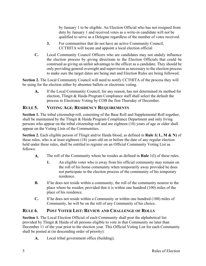by January 1 to be eligible. An Election Official who has not resigned from duty by January 1 and received votes as a write-in candidate will not be qualified to serve as a Delegate regardless of the number of votes received.

- **3.** For communities that do not have an active Community Council, CCTHITA will locate and appoint a local election official
- **C.** Local Community Council Officers who are candidates may not unduly influence the election process by giving directions to the Election Officials that could be construed as giving an unfair advantage to the officer as a candidate. They should be only providing general oversight and supervision as necessary to the election process to make sure the target dates are being met and Election Rules are being followed.

**Section 2.** The Local Community Council will need to notify CCTHITA of the process they will be using for the election either by absentee ballots or electronic voting.

If the Local Community Council, for any reason, has not determined its method for A. election, Tlingit & Haida Program Compliance staff shall select the default the process to Electronic Voting by COB the first Thursday of December.

## **RULE 5. VOTING AGE; RESIDENCY REQUIREMENTS**

**Section 1.** The tribal citizenship roll, consisting of the Base Roll and Supplemental Roll together, shall be maintained by the Tlingit & Haida Program Compliance Department and only living persons who appear on the tribal citizenship roll and are eighteen (18) years of age or older shall appear on the Voting Lists of the Communities.

**Section 2.** Each eligible person of Tlingit and/or Haida blood, as defined in **Rule 1( L, M & N)** of these rules, who is at least eighteen (18) years old on or before the date of any regular election held under these rules, shall be entitled to register on an Official Community Voting List as follows:

- The roll of the Community where he resides as defined in **Rule** 1(I) of these rules.  $\mathbf{A}$ .
	- **1.** An eligible voter who is away from his official community may remain on the roll of his home community when temporarily away provided he does not participate in the election process of the community of his temporary residence.
- **B.** If he does not reside within a community, the roll of the community nearest to the place where he resides; provided that it is within one hundred (100) miles of the place of his residence.
- **C.** If he does not reside within a Community or within one hundred (100) miles of Community, he will be on the roll of any Community of his choice.

# **RULE 6. POST VOTER LIST; REVIEW AND CHALLENGE OF ROLLS**

**Section 1.** The Local Election Official of each Community shall post the alphabetical list provided by Tlingit & Haida of all persons eligible to vote in that Community no later than December 11 of the year prior to the election year. This Official Voting List for each Community shall be posted at (in descending order of priority):

Local tribal government office (building); **A.**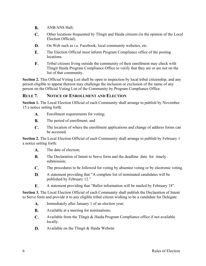- В. ANB/ANS Hall;
- $\mathbf{C}$ . Other locations frequented by Tlingit and Haida citizens (in the opinion of the Local Election Official).
- D. On Web such as i.e. Facebook, local community websites, etc.
- E. The Election Official must inform Program Compliance office of the posting locations.
- F. Tribal citizens living outside the community of their enrollment may check with Tlingit Haida Program Compliance Office to verify that they are or are not on the list of that community.

**Section 2.** This Official Voting List shall be open to inspection by local tribal citizenship, and any person eligible to appear thereon may challenge the inclusion or exclusion of the name of any person on the Official Voting List of the Community by Program Compliance Office.

### **RULE 7. NOTICE OF ENROLLMENT AND ELECTION**

**Section 1.** The Local Election Official of each Community shall arrange to publish by November 15 a notice setting forth:

- Enrollment requirements for voting; **A.**
- **B.** The period of enrollment; and
- $\mathbf{C}$ . The location of where the enrollment applications and change of address forms can be accessed.

**Section 2.** The Local Election Official of each Community shall arrange to publish by February 1 a notice setting forth:

- A. The date of election;
- **B.** The Declaration of Intent to Serve form and the deadline date for timely submission;
- C. The procedures to be followed for voting by absentee voting or by electronic voting.
- D. A statement providing that "A complete list of nominated candidates will be published by February 12."
- E. A statement providing that "Ballot information will be mailed by February 18".

**Section 3.** The Local Election Official of each Community shall publish the Declaration of Intent to Serve form and provide it to any eligible tribal citizen wishing to be a candidate for Delegate.

- **A.** Immediately after January 1 of an election year;
- **B.** Available at a meeting for nominations;
- C. Available from the Tlingit & Haida Program Compliance office if not available locally.
- D. Available on the Tlingit & Haida Website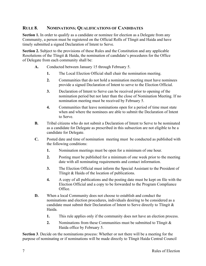# **RULE 8. NOMINATIONS; QUALIFICATIONS OF CANDIDATES**

Section 1. In order to qualify as a candidate or nominee for election as a Delegate from any Community, a person must be registered on the Official Rolls of Tlingit and Haida and have timely submitted a signed Declaration of Intent to Serve.

**Section 2.** Subject to the provisions of these Rules and the Constitution and any applicable Resolutions of the Tlingit & Haida, the nomination of candidate's procedures for the Office of Delegate from each community shall be:

- **A.** Conducted between January 15 through February 5.
	- **1.** The Local Election Official shall chair the nomination meeting.
	- **2.** Communities that do not hold a nomination meeting must have nominees provide a signed Declaration of Intent to serve to the Election Official.
	- **3.** Declaration of Intent to Serve can be received prior to opening of the nomination period but not later than the close of Nomination Meeting. If no nomination meeting must be received by February 5.
	- **4.** Communities that leave nominations open for a period of time must state when and where the nominees are able to submit the Declaration of Intent to Serve.
- **B.** Tribal citizens who do not submit a Declaration of Intent to Serve to be nominated as a candidate for Delegate as prescribed in this subsection are not eligible to be a candidate for Delegate.
- **C.** Posted date and time of nomination meeting must be conducted as published with the following conditions:
	- **1.** Nomination meetings must be open for a minimum of one hour.
	- **2.** Posting must be published for a minimum of one week prior to the meeting date with all nominating requirements and contact information.
	- **3.** The Election Official must inform the Special Assistant to the President of Tlingit & Haida of the location of publications.
	- **4.** A copy of all publications and the posting date must be kept on file with the Election Official and a copy to be forwarded to the Program Compliance Office.
- **D.** When a local Community does not choose to establish and conduct the nominations and election procedures, individuals desiring to be considered as a candidate must submit their Declaration of Intent to Serve directly to Tlingit & Haida.
	- **1.** This rule applies only if the community does not have an election process.
	- **2.** Nominations from these Communities must be submitted to Tlingit & Haida office by February 5.

**Section 3**. Decide on the nominations process: Whether or not there will be a meeting for the purpose of nominating or if nominations will be made directly to Tlingit Haida Central Council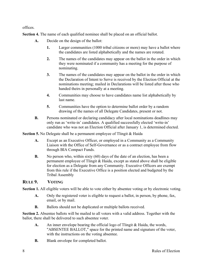offices.

**Section 4.** The name of each qualified nominee shall be placed on an official ballot.

- **A.** Decide on the design of the ballot:
	- **1.** Larger communities (1000 tribal citizens or more) may have a ballot where the candidates are listed alphabetically and the names are rotated.
	- **2.** The names of the candidates may appear on the ballot in the order in which they were nominated if a community has a meeting for the purpose of nominating.
	- **3.** The names of the candidates may appear on the ballot in the order in which the Declaration of Intent to Serve is received by the Election Official at the nominations meeting; mailed in Declarations will be listed after those who handed theirs in personally at a meeting.
	- **4.** Communities may choose to have candidates name list alphabetically by last name.
	- **5.** Communities have the option to determine ballot order by a random drawing of the names of all Delegate Candidates, present or not.
- **B.** Persons nominated or declaring candidacy after local nominations deadlines may only run as 'write-in' candidates. A qualified successfully elected 'write-in' candidate who was not an Election Official after January 1, is determined elected.

**Section 5.** No Delegate shall be a permanent employee of Tlingit & Haida

- **A.** Except as an Executive Officer, or employed in a Community as a Community Liaison with the Office of Self-Governance or as a contract employee from flow through BIA Compact Funds.
- **B.** No person who, within sixty (60) days of the date of an election, has been a permanent employee of Tlingit & Haida, except as stated above shall be eligible for election as a Delegate from any Community. Executive Officers are exempt from this rule if the Executive Office is a position elected and budgeted by the Tribal Assembly

# **RULE 9. VOTING**

**Section 1.** All eligible voters will be able to vote either by absentee voting or by electronic voting.

- **A.** Only the registered voter is eligible to request a ballot, in person, by phone, fax, email, or by mail.
- **B.** Ballots should not be duplicated or multiple ballots received.

**Section 2.** Absentee ballots will be mailed to all voters with a valid address. Together with the ballot, there shall be delivered to such absentee voter.

- **A.** An inner envelope bearing the official logo of Tlingit & Haida, the words, "ABSENTEE BALLOT," space for the printed name and signature of the voter, with the instructions on the voting absentee.
- **B.** Blank envelope for completed ballot.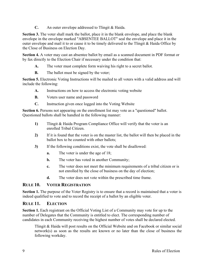**C.** An outer envelope addressed to Tlingit & Haida.

**Section 3.** The voter shall mark the ballot, place it in the blank envelope, and place the blank envelope in the envelope marked "ABSENTEE BALLOT" seal the envelope and place it in the outer envelope and mail it to or cause it to be timely delivered to the Tlingit & Haida Office by the Close of Business on Election Day.

**Section 4.** A voter may cast an absentee ballot by email as a scanned document in PDF format or by fax directly to the Election Chair if necessary under the condition that:

- **A.** The voter must complete form waiving his right to a secret ballot.
- **B.** The ballot must be signed by the voter;

**Section 5.** Electronic Voting Instructions will be mailed to all voters with a valid address and will include the following:

- **A.** Instructions on how to access the electronic voting website
- **B.** Voters user name and password
- **C.** Instruction given once logged into the Voting Website

Section 6. Persons not appearing on the enrollment list may vote as a "questioned" ballot. Questioned ballots shall be handled in the following manner:

- **1)** Tlingit & Haida Program Compliance Office will verify that the voter is an enrolled Tribal Citizen.
- **2)** If it is found that the voter is on the master list, the ballot will then be placed in the ballot box to be counted with other ballots;
- **3)** If the following conditions exist, the vote shall be disallowed:
	- **a.** The voter is under the age of 18;
	- **b.** The voter has voted in another Community;
	- **c.** The voter does not meet the minimum requirements of a tribal citizen or is not enrolled by the close of business on the day of election;
	- **d.** The voter does not vote within the prescribed time frame.

#### **RULE 10. VOTER REGISTRATION**

**Section 1.** The purpose of the Voter Registry is to ensure that a record is maintained that a voter is indeed qualified to vote and to record the receipt of a ballot by an eligible voter.

#### **RULE 11. ELECTION**

Section 1. Each registrant on the Official Voting List of a Community may vote for up to the number of Delegates that the Community is entitled to elect. The corresponding number of candidates in each Community receiving the highest number of votes shall be declared elected.

Tlingit & Haida will post results on the Official Website and on Facebook or similar social network(s) as soon as the results are known or no later than the close of business the following workday.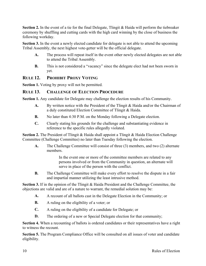**Section 2.** In the event of a tie for the final Delegate, Tlingit & Haida will perform the tiebreaker ceremony by shuffling and cutting cards with the high card winning by the close of business the following workday.

**Section 3.** In the event a newly elected candidate for delegate is not able to attend the upcoming Tribal Assembly, the next highest vote-getter will be the official delegate.

- **A.** The process will repeat itself in the event other newly elected delegates are not able to attend the Tribal Assembly.
- **B.** This is not considered a "vacancy" since the delegate elect had not been sworn in yet.

### **RULE 12. PROHIBIT PROXY VOTING**

**Section 1.** Voting by proxy will not be permitted.

### **RULE 13. CHALLENGE OF ELECTION PROCEDURE**

**Section 1.** Any candidate for Delegate may challenge the election results of his Community.

- **A.** By written notice with the President of the Tlingit & Haida and/or the Chairman of a duly constituted Election Committee of Tlingit & Haida.
- **B.** No later than 4:30 P.M. on the Monday following a Delegate election.
- **C.** Clearly stating his grounds for the challenge and substantiating evidence in reference to the specific rules allegedly violated.

**Section 2.** The President of Tlingit & Haida shall appoint a Tlingit & Haida Election Challenge Committee (Challenge Committee) no later than Tuesday following the election.

**A.** The Challenge Committee will consist of three (3) members, and two (2) alternate members.

> In the event one or more of the committee members are related to any persons involved or from the Community in question, an alternate will serve in place of the person with the conflict.

**B.** The Challenge Committee will make every effort to resolve the dispute in a fair and impartial manner utilizing the least intrusive method.

**Section 3.** If in the opinion of the Tlingit & Haida President and the Challenge Committee, the objections are valid and are of a nature to warrant, the remedial solution may be:

- **A.** A recount of all ballots cast in the Delegate Election in the Community; or
- **B.** A ruling on the eligibility of a voter; or
- **C.** A ruling on the eligibility of a candidate for Delegate; or
- **D.** The ordering of a new or Special Delegate election for that community;

**Section 4.** When a recounting of ballots is ordered candidates or their representatives have a right to witness the recount.

**Section 5.** The Program Compliance Office will be consulted on all issues of voter and candidate eligibility.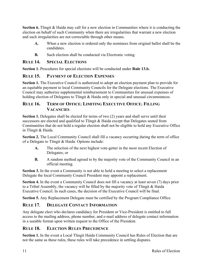**Section 6.** Tlingit & Haida may call for a new election in Communities where it is conducting the election on behalf of such Community when there are irregularities that warrant a new election and such irregularities are not correctable through other means.

- **A.** When a new election is ordered only the nominees from original ballot shall be the candidates.
- **B.** Such election shall be conducted via Electronic voting.

# **RULE 14. SPECIAL ELECTIONS**

**Section 1.** Procedures for special elections will be conducted under **Rule 13.b.** 

# **RULE 15. PAYMENT OF ELECTION EXPENSES**

Section 1. The Executive Council is authorized to adopt an election payment plan to provide for an equitable payment to local Community Councils for the Delegate elections. The Executive Council may authorize supplemental reimbursement to Communities for unusual expenses of holding election of Delegates to Tlingit & Haida only in special and unusual circumstances.

# **RULE 16. TERM OF OFFICE; LIMITING EXECUTIVE OFFICE; FILLING VACANCIES**

Section 1. Delegates shall be elected for terms of two (2) years and shall serve until their successors are elected and qualified to Tlingit & Haida except that Delegates seated from Communities that do not hold a regular election shall not be eligible to hold any Executive Office in Tlingit & Haida.

**Section 2.** The Local Community Council shall fill a vacancy occurring during the term of office of a Delegate to Tlingit & Haida. Options include:

- **A.** The selection of the next highest vote-getter in the most recent Election of Delegates; or
- **B.** A random method agreed to by the majority vote of the Community Council in an official meeting.

**Section 3.** In the event a Community is not able to hold a meeting to select a replacement Delegate the local Community Council President may appoint a replacement.

**Section 4.** In the event a Community Council does not fill a vacancy at least seven (7) days prior to a Tribal Assembly, the vacancy will be filled by the majority vote of Tlingit & Haida Executive Council. In such cases, the decision of the Executive Council will be final.

**Section 5.** Any Replacement Delegate must be certified by the Program Compliance Office.

# **RULE 17. DELEGATE CONTACT INFORMATION**

Any delegate elect who declares candidacy for President or Vice-President is entitled to full access to the mailing address, phone number, and e-mail address of delegate contact information in a useable format upon written request to the Office of the President.

# **RULE 18. ELECTION RULES PRECEDENCE**

**Section 1.** In the event a Local Tlingit Haida Community Council has Rules of Election that are not the same as these rules, these rules will take precedence in settling disputes.